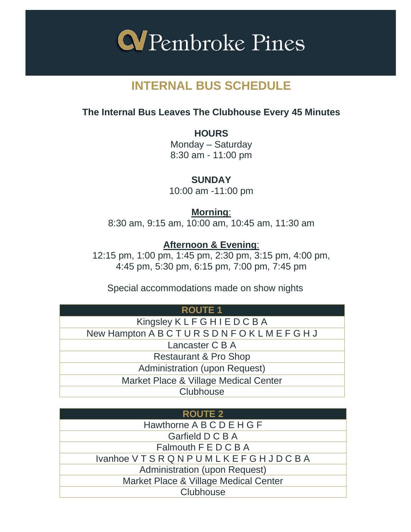

# **INTERNAL BUS SCHEDULE**

# **The Internal Bus Leaves The Clubhouse Every 45 Minutes**

**HOURS** Monday – Saturday 8:30 am - 11:00 pm

**SUNDAY** 10:00 am -11:00 pm

**Morning**: 8:30 am, 9:15 am, 10:00 am, 10:45 am, 11:30 am

## **Afternoon & Evening**:

12:15 pm, 1:00 pm, 1:45 pm, 2:30 pm, 3:15 pm, 4:00 pm, 4:45 pm, 5:30 pm, 6:15 pm, 7:00 pm, 7:45 pm

Special accommodations made on show nights

| <b>ROUTE 1</b>                        |
|---------------------------------------|
| Kingsley KLFGHIEDCBA                  |
| New Hampton ABCTURSDNFOKLMEFGHJ       |
| Lancaster C B A                       |
| Restaurant & Pro Shop                 |
| <b>Administration (upon Request)</b>  |
| Market Place & Village Medical Center |
| Clubhouse                             |

| <b>ROUTE 2</b>                        |
|---------------------------------------|
| Hawthorne A B C D E H G F             |
| Garfield D C B A                      |
| Falmouth F E D C B A                  |
| <b>Ivanhoe VTSRQNPUMLKEFGHJDCBA</b>   |
| Administration (upon Request)         |
| Market Place & Village Medical Center |
| Clubhouse                             |